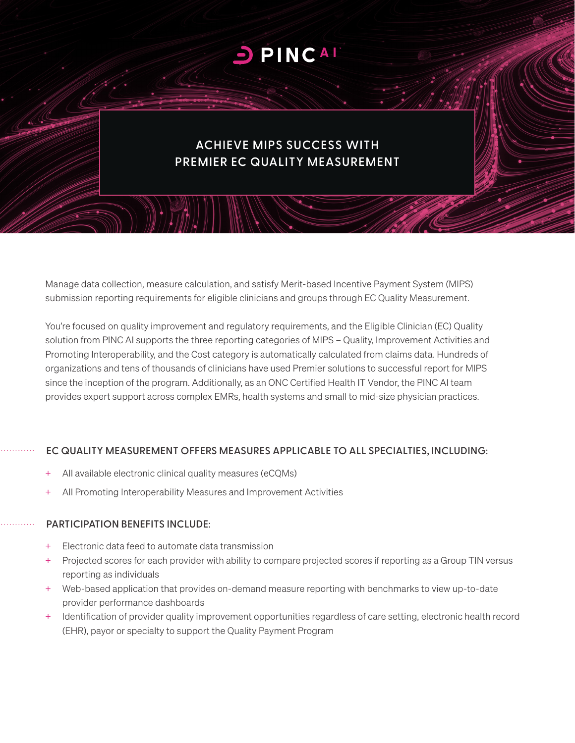# PINCAL

# **ACHIEVE MIPS SUCCESS WITH PREMIER EC QUALITY MEASUREMENT**

Manage data collection, measure calculation, and satisfy Merit-based Incentive Payment System (MIPS) submission reporting requirements for eligible clinicians and groups through EC Quality Measurement.

You're focused on quality improvement and regulatory requirements, and the Eligible Clinician (EC) Quality solution from PINC AI supports the three reporting categories of MIPS – Quality, Improvement Activities and Promoting Interoperability, and the Cost category is automatically calculated from claims data. Hundreds of organizations and tens of thousands of clinicians have used Premier solutions to successful report for MIPS since the inception of the program. Additionally, as an ONC Certified Health IT Vendor, the PINC AI team provides expert support across complex EMRs, health systems and small to mid-size physician practices.

#### **EC QUALITY MEASUREMENT OFFERS MEASURES APPLICABLE TO ALL SPECIALTIES, INCLUDING:**

- All available electronic clinical quality measures (eCQMs)
- + All Promoting Interoperability Measures and Improvement Activities

#### **PARTICIPATION BENEFITS INCLUDE:**

- + Electronic data feed to automate data transmission
- + Projected scores for each provider with ability to compare projected scores if reporting as a Group TIN versus reporting as individuals
- + Web-based application that provides on-demand measure reporting with benchmarks to view up-to-date provider performance dashboards
- + Identification of provider quality improvement opportunities regardless of care setting, electronic health record (EHR), payor or specialty to support the Quality Payment Program